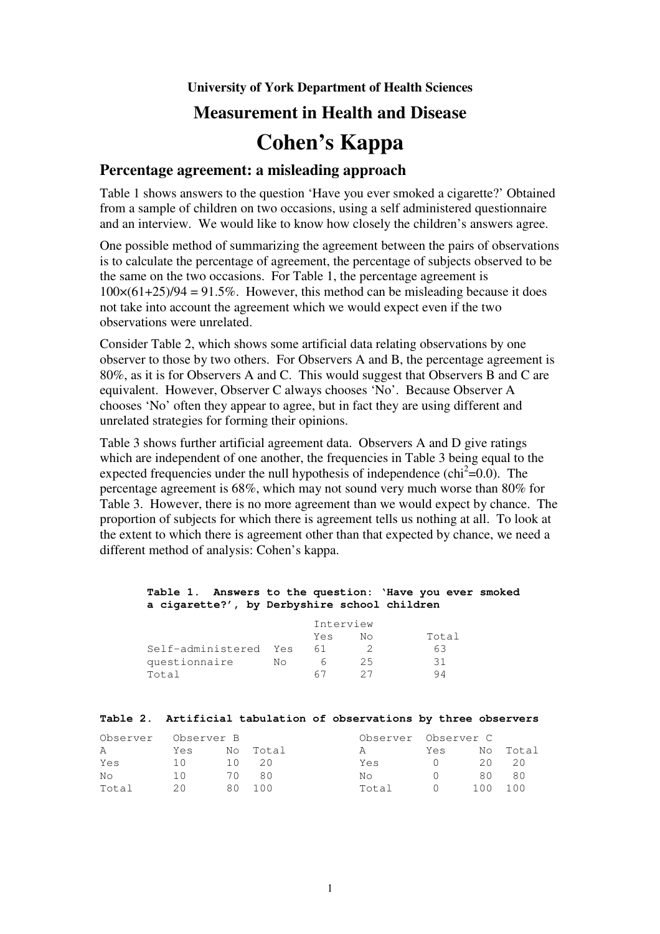**University of York Department of Health Sciences**

# **Measurement in Health and Disease**

# **Cohen's Kappa**

## **Percentage agreement: a misleading approach**

Table 1 shows answers to the question 'Have you ever smoked a cigarette?' Obtained from a sample of children on two occasions, using a self administered questionnaire and an interview. We would like to know how closely the children's answers agree.

One possible method of summarizing the agreement between the pairs of observations is to calculate the percentage of agreement, the percentage of subjects observed to be the same on the two occasions. For Table 1, the percentage agreement is  $100\times(61+25)/94 = 91.5\%$ . However, this method can be misleading because it does not take into account the agreement which we would expect even if the two observations were unrelated.

Consider Table 2, which shows some artificial data relating observations by one observer to those by two others. For Observers A and B, the percentage agreement is 80%, as it is for Observers A and C. This would suggest that Observers B and C are equivalent. However, Observer C always chooses 'No'. Because Observer A chooses 'No' often they appear to agree, but in fact they are using different and unrelated strategies for forming their opinions.

Table 3 shows further artificial agreement data. Observers A and D give ratings which are independent of one another, the frequencies in Table 3 being equal to the expected frequencies under the null hypothesis of independence ( $\text{chi}^2$ =0.0). The percentage agreement is 68%, which may not sound very much worse than 80% for Table 3. However, there is no more agreement than we would expect by chance. The proportion of subjects for which there is agreement tells us nothing at all. To look at the extent to which there is agreement other than that expected by chance, we need a different method of analysis: Cohen's kappa.

#### **Table 1. Answers to the question: 'Have you ever smoked a cigarette?', by Derbyshire school children**

|                       |    | Interview |    |       |  |
|-----------------------|----|-----------|----|-------|--|
|                       |    | Yes       | NΩ | Total |  |
| Self-administered Yes |    | 61        |    | 63    |  |
| questionnaire         | NΩ |           | 25 | 31    |  |
| Total                 |    | 67        |    |       |  |

#### **Table 2. Artificial tabulation of observations by three observers**

| Observer | Observer B |        |          | Observer Observer C |     |      |          |
|----------|------------|--------|----------|---------------------|-----|------|----------|
| A        | Yes        |        | No Total | A                   | Yes |      | No Total |
| Yes      | 10         | 1()    |          | Yes                 | (   | 20   | -20      |
| No       | 10         | 7 O    | 80       | No.                 |     | 80   | 80       |
| Total    | 20         | 80 100 |          | Total               | ()  | 100. | 100      |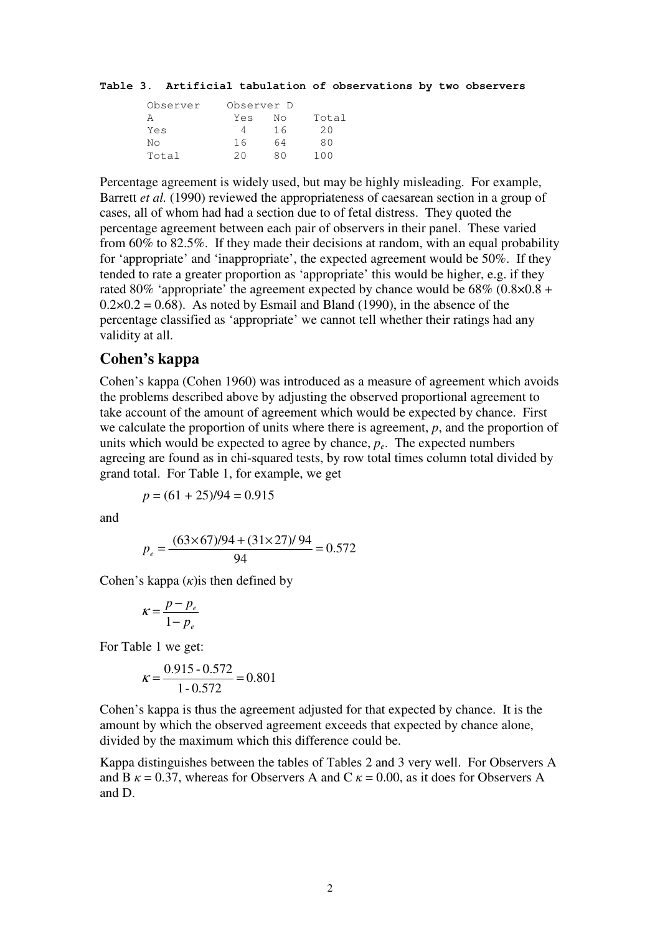#### **Table 3. Artificial tabulation of observations by two observers**

| Observer |     | Observer D |       |  |  |
|----------|-----|------------|-------|--|--|
|          | Yes | Nο         | Total |  |  |
| Yes      |     | 16         | 20    |  |  |
| Nο       | 16  | 64         | RΛ    |  |  |
| Total    | 20  | яn         | 100   |  |  |

Percentage agreement is widely used, but may be highly misleading. For example, Barrett *et al.* (1990) reviewed the appropriateness of caesarean section in a group of cases, all of whom had had a section due to of fetal distress. They quoted the percentage agreement between each pair of observers in their panel. These varied from 60% to 82.5%. If they made their decisions at random, with an equal probability for 'appropriate' and 'inappropriate', the expected agreement would be 50%. If they tended to rate a greater proportion as 'appropriate' this would be higher, e.g. if they rated 80% 'appropriate' the agreement expected by chance would be  $68\%$  (0.8×0.8 +  $0.2 \times 0.2 = 0.68$ . As noted by Esmail and Bland (1990), in the absence of the percentage classified as 'appropriate' we cannot tell whether their ratings had any validity at all.

### **Cohen's kappa**

Cohen's kappa (Cohen 1960) was introduced as a measure of agreement which avoids the problems described above by adjusting the observed proportional agreement to take account of the amount of agreement which would be expected by chance. First we calculate the proportion of units where there is agreement, *p*, and the proportion of units which would be expected to agree by chance, *pe*. The expected numbers agreeing are found as in chi-squared tests, by row total times column total divided by grand total. For Table 1, for example, we get

$$
p = (61 + 25)/94 = 0.915
$$

and

$$
p_e = \frac{(63 \times 67)/94 + (31 \times 27)/94}{94} = 0.572
$$

Cohen's kappa  $(k)$  is then defined by

$$
\kappa = \frac{p - p_e}{1 - p_e}
$$

For Table 1 we get:

$$
\kappa = \frac{0.915 - 0.572}{1 - 0.572} = 0.801
$$

Cohen's kappa is thus the agreement adjusted for that expected by chance. It is the amount by which the observed agreement exceeds that expected by chance alone, divided by the maximum which this difference could be.

Kappa distinguishes between the tables of Tables 2 and 3 very well. For Observers A and B  $\kappa = 0.37$ , whereas for Observers A and C  $\kappa = 0.00$ , as it does for Observers A and D.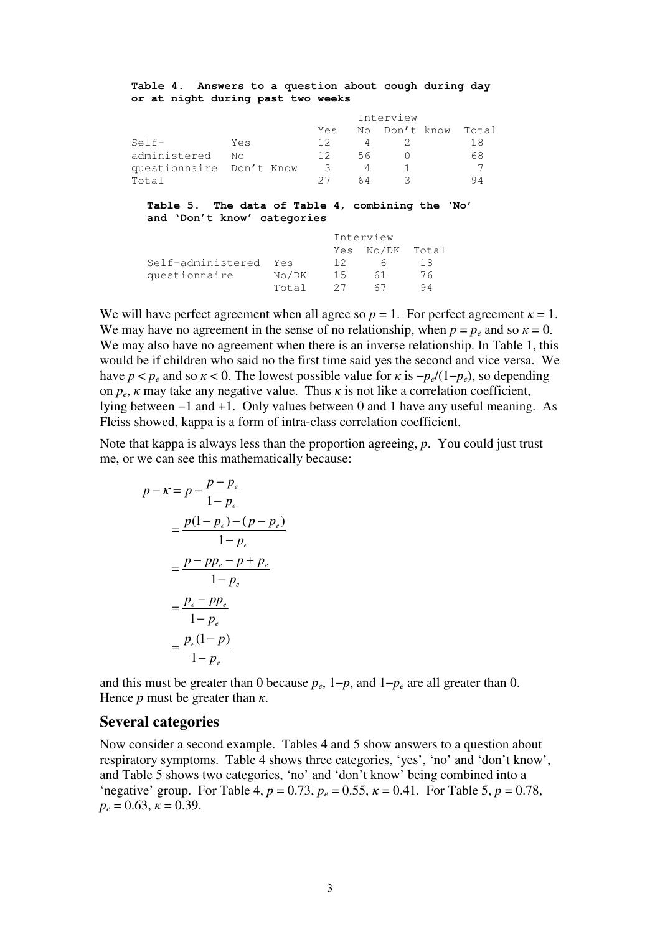**Table 4. Answers to a question about cough during day or at night during past two weeks**

|                          |     | Interview |    |               |       |
|--------------------------|-----|-----------|----|---------------|-------|
|                          |     | Yes       |    | No Don't know | Total |
| Self-                    | Yes | 12        |    |               | 18    |
| administered             | N٥  | 12        | 56 |               | 68    |
| questionnaire Don't Know |     | $\prec$   |    |               |       |
| Total                    |     |           |    |               |       |

**Table 5. The data of Table 4, combining the 'No' and 'Don't know' categories**

|                       |       | Interview |                 |    |
|-----------------------|-------|-----------|-----------------|----|
|                       |       |           | Yes No/DK Total |    |
| Self-administered Yes |       | 12        |                 | 18 |
| questionnaire         | No/DK | -1.5      | 61              | 76 |
|                       | Total | - 27      | 67              | 94 |

We will have perfect agreement when all agree so  $p = 1$ . For perfect agreement  $\kappa = 1$ . We may have no agreement in the sense of no relationship, when  $p = p_e$  and so  $\kappa = 0$ . We may also have no agreement when there is an inverse relationship. In Table 1, this would be if children who said no the first time said yes the second and vice versa. We have  $p < p_e$  and so  $\kappa < 0$ . The lowest possible value for  $\kappa$  is  $-p_e/(1-p_e)$ , so depending on  $p_e$ ,  $\kappa$  may take any negative value. Thus  $\kappa$  is not like a correlation coefficient, lying between −1 and +1. Only values between 0 and 1 have any useful meaning. As Fleiss showed, kappa is a form of intra-class correlation coefficient.

Note that kappa is always less than the proportion agreeing, *p*. You could just trust me, or we can see this mathematically because:

$$
p - \kappa = p - \frac{p - p_e}{1 - p_e}
$$
  
=  $\frac{p(1 - p_e) - (p - p_e)}{1 - p_e}$   
=  $\frac{p - pp_e - p + p_e}{1 - p_e}$   
=  $\frac{p_e - pp_e}{1 - p_e}$   
=  $\frac{p_e(1 - p)}{1 - p_e}$ 

and this must be greater than 0 because  $p_e$ , 1− $p$ , and 1− $p_e$  are all greater than 0. Hence  $p$  must be greater than  $\kappa$ .

### **Several categories**

Now consider a second example. Tables 4 and 5 show answers to a question about respiratory symptoms. Table 4 shows three categories, 'yes', 'no' and 'don't know', and Table 5 shows two categories, 'no' and 'don't know' being combined into a 'negative' group. For Table 4,  $p = 0.73$ ,  $p_e = 0.55$ ,  $\kappa = 0.41$ . For Table 5,  $p = 0.78$ ,  $p_e = 0.63$ ,  $\kappa = 0.39$ .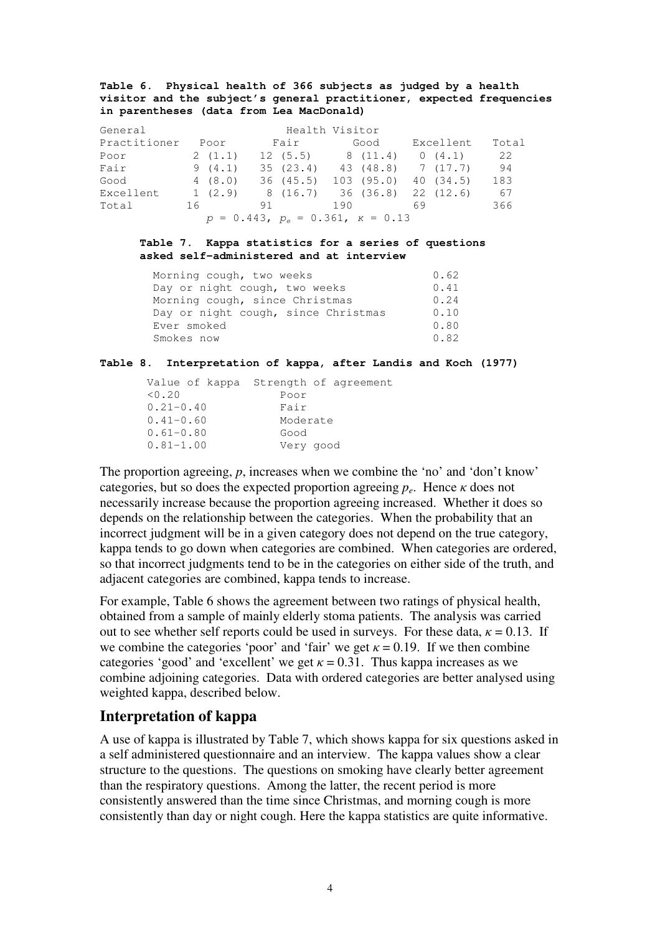#### **Table 6. Physical health of 366 subjects as judged by a health visitor and the subject's general practitioner, expected frequencies in parentheses (data from Lea MacDonald)**

| General      |    |        |    | Health Visitor                                |     |           |           |       |
|--------------|----|--------|----|-----------------------------------------------|-----|-----------|-----------|-------|
| Practitioner |    | Poor   |    | Fair                                          |     | Good      | Excellent | Total |
| Poor         |    | 2(1.1) |    | 12(5.5)                                       |     | 8(11.4)   | 0(4.1)    | 22    |
| Fair         |    | 9(4.1) |    | 35(23.4)                                      |     | 43 (48.8) | 7 (17.7)  | 94    |
| Good         |    | 4(8.0) |    | 36 (45.5)                                     |     | 103(95.0) | 40 (34.5) | 183   |
| Excellent    |    | 1(2.9) |    | 8 (16.7)                                      |     | 36 (36.8) | 22(12.6)  | 67    |
| Total        | 16 |        | 91 |                                               | 190 |           | 69        | 366   |
|              |    |        |    | $p = 0.443$ , $p_e = 0.361$ , $\kappa = 0.13$ |     |           |           |       |

#### **Table 7. Kappa statistics for a series of questions asked self-administered and at interview**

| Morning cough, two weeks            | 0.62 |
|-------------------------------------|------|
| Day or night cough, two weeks       | 0.41 |
| Morning cough, since Christmas      | 0.24 |
| Day or night cough, since Christmas | 0.10 |
| Ever smoked                         | 0.80 |
| Smokes now                          | 0.82 |

#### **Table 8. Interpretation of kappa, after Landis and Koch (1977)**

| Value of kappa Strength of agreement |
|--------------------------------------|
| Poor                                 |
| Fair                                 |
| Moderate                             |
| Good                                 |
| Very good                            |
|                                      |

The proportion agreeing, *p*, increases when we combine the 'no' and 'don't know' categories, but so does the expected proportion agreeing  $p_e$ . Hence  $\kappa$  does not necessarily increase because the proportion agreeing increased. Whether it does so depends on the relationship between the categories. When the probability that an incorrect judgment will be in a given category does not depend on the true category, kappa tends to go down when categories are combined. When categories are ordered, so that incorrect judgments tend to be in the categories on either side of the truth, and adjacent categories are combined, kappa tends to increase.

For example, Table 6 shows the agreement between two ratings of physical health, obtained from a sample of mainly elderly stoma patients. The analysis was carried out to see whether self reports could be used in surveys. For these data,  $\kappa = 0.13$ . If we combine the categories 'poor' and 'fair' we get  $\kappa = 0.19$ . If we then combine categories 'good' and 'excellent' we get  $\kappa = 0.31$ . Thus kappa increases as we combine adjoining categories. Data with ordered categories are better analysed using weighted kappa, described below.

# **Interpretation of kappa**

A use of kappa is illustrated by Table 7, which shows kappa for six questions asked in a self administered questionnaire and an interview. The kappa values show a clear structure to the questions. The questions on smoking have clearly better agreement than the respiratory questions. Among the latter, the recent period is more consistently answered than the time since Christmas, and morning cough is more consistently than day or night cough. Here the kappa statistics are quite informative.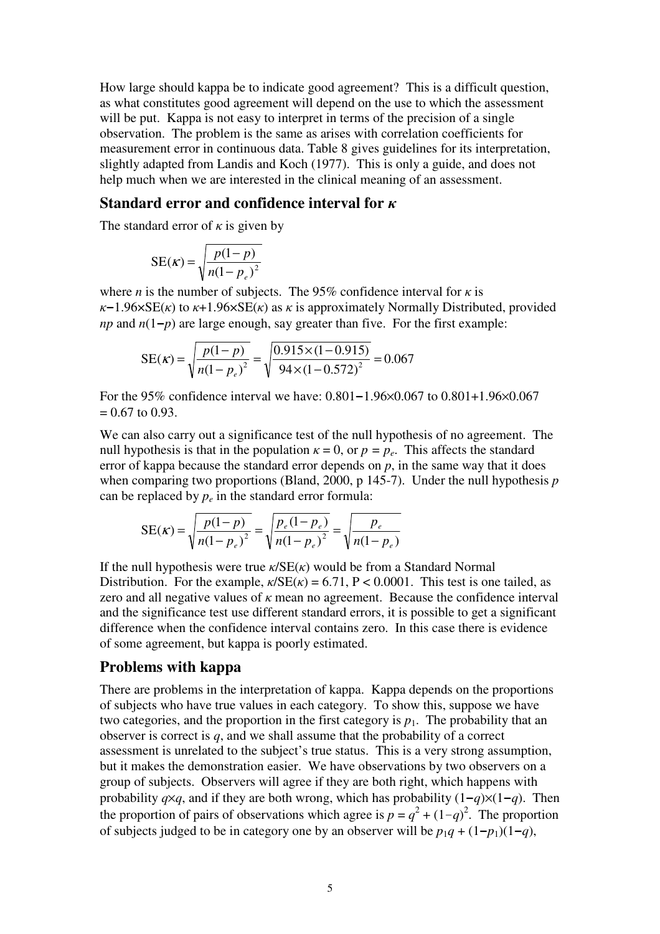How large should kappa be to indicate good agreement? This is a difficult question, as what constitutes good agreement will depend on the use to which the assessment will be put. Kappa is not easy to interpret in terms of the precision of a single observation. The problem is the same as arises with correlation coefficients for measurement error in continuous data. Table 8 gives guidelines for its interpretation, slightly adapted from Landis and Koch (1977). This is only a guide, and does not help much when we are interested in the clinical meaning of an assessment.

## **Standard error and confidence interval for**

The standard error of  $\kappa$  is given by

$$
SE(\kappa) = \sqrt{\frac{p(1-p)}{n(1-p_e)^2}}
$$

where *n* is the number of subjects. The 95% confidence interval for  $\kappa$  is  $\kappa$ –1.96×SE( $\kappa$ ) to  $\kappa$ +1.96×SE( $\kappa$ ) as  $\kappa$  is approximately Normally Distributed, provided *np* and  $n(1-p)$  are large enough, say greater than five. For the first example:

SE(
$$
\kappa
$$
) =  $\sqrt{\frac{p(1-p)}{n(1-p_e)^2}} = \sqrt{\frac{0.915 \times (1-0.915)}{94 \times (1-0.572)^2}} = 0.067$ 

For the 95% confidence interval we have: 0.801**-**1.96×0.067 to 0.801+1.96×0.067  $= 0.67$  to 0.93.

We can also carry out a significance test of the null hypothesis of no agreement. The null hypothesis is that in the population  $\kappa = 0$ , or  $p = p_e$ . This affects the standard error of kappa because the standard error depends on *p*, in the same way that it does when comparing two proportions (Bland, 2000, p 145-7). Under the null hypothesis *p* can be replaced by  $p_e$  in the standard error formula:

$$
SE(\kappa) = \sqrt{\frac{p(1-p)}{n(1-p_e)^2}} = \sqrt{\frac{p_e(1-p_e)}{n(1-p_e)^2}} = \sqrt{\frac{p_e}{n(1-p_e)}}
$$

If the null hypothesis were true  $\kappa / SE(\kappa)$  would be from a Standard Normal Distribution. For the example,  $\kappa / SE(\kappa) = 6.71$ , P < 0.0001. This test is one tailed, as zero and all negative values of  $\kappa$  mean no agreement. Because the confidence interval and the significance test use different standard errors, it is possible to get a significant difference when the confidence interval contains zero. In this case there is evidence of some agreement, but kappa is poorly estimated.

## **Problems with kappa**

There are problems in the interpretation of kappa. Kappa depends on the proportions of subjects who have true values in each category. To show this, suppose we have two categories, and the proportion in the first category is  $p_1$ . The probability that an observer is correct is *q*, and we shall assume that the probability of a correct assessment is unrelated to the subject's true status. This is a very strong assumption, but it makes the demonstration easier. We have observations by two observers on a group of subjects. Observers will agree if they are both right, which happens with probability *q*×*q*, and if they are both wrong, which has probability  $(1-q)\times(1-q)$ . Then the proportion of pairs of observations which agree is  $p = q^2 + (1-q)^2$ . The proportion of subjects judged to be in category one by an observer will be  $p_1q + (1-p_1)(1-q)$ ,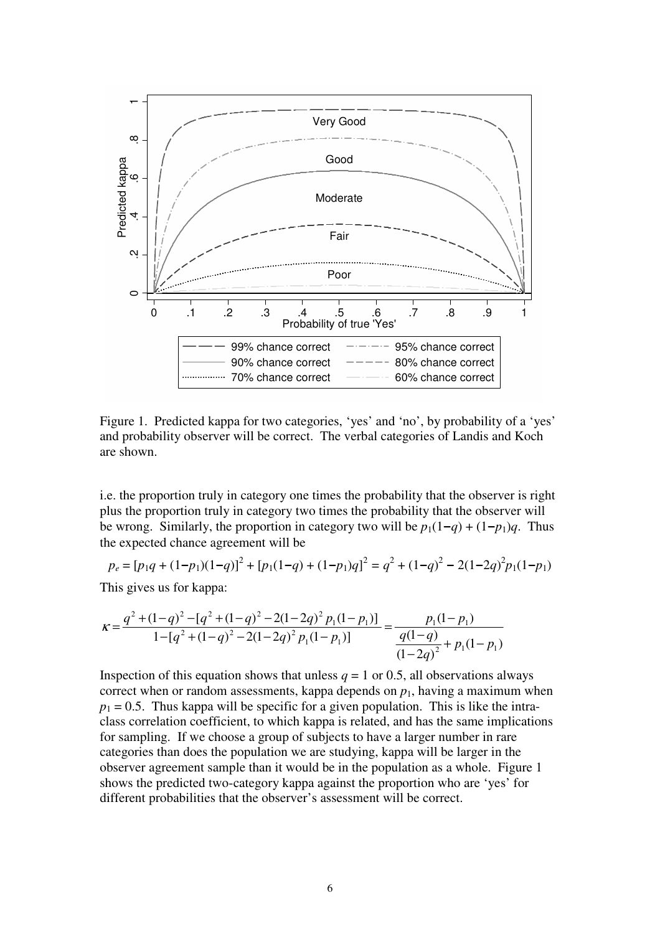

Figure 1. Predicted kappa for two categories, 'yes' and 'no', by probability of a 'yes' and probability observer will be correct. The verbal categories of Landis and Koch are shown.

i.e. the proportion truly in category one times the probability that the observer is right plus the proportion truly in category two times the probability that the observer will be wrong. Similarly, the proportion in category two will be  $p_1(1-q) + (1-p_1)q$ . Thus the expected chance agreement will be

$$
p_e = [p_1q + (1-p_1)(1-q)]^2 + [p_1(1-q) + (1-p_1)q]^2 = q^2 + (1-q)^2 - 2(1-2q)^2p_1(1-p_1)
$$

This gives us for kappa:

$$
\kappa = \frac{q^2 + (1 - q)^2 - [q^2 + (1 - q)^2 - 2(1 - 2q)^2 p_1 (1 - p_1)]}{1 - [q^2 + (1 - q)^2 - 2(1 - 2q)^2 p_1 (1 - p_1)]} = \frac{p_1 (1 - p_1)}{(1 - 2q)^2 + p_1 (1 - p_1)}
$$

Inspection of this equation shows that unless  $q = 1$  or 0.5, all observations always correct when or random assessments, kappa depends on  $p_1$ , having a maximum when  $p_1 = 0.5$ . Thus kappa will be specific for a given population. This is like the intraclass correlation coefficient, to which kappa is related, and has the same implications for sampling. If we choose a group of subjects to have a larger number in rare categories than does the population we are studying, kappa will be larger in the observer agreement sample than it would be in the population as a whole. Figure 1 shows the predicted two-category kappa against the proportion who are 'yes' for different probabilities that the observer's assessment will be correct.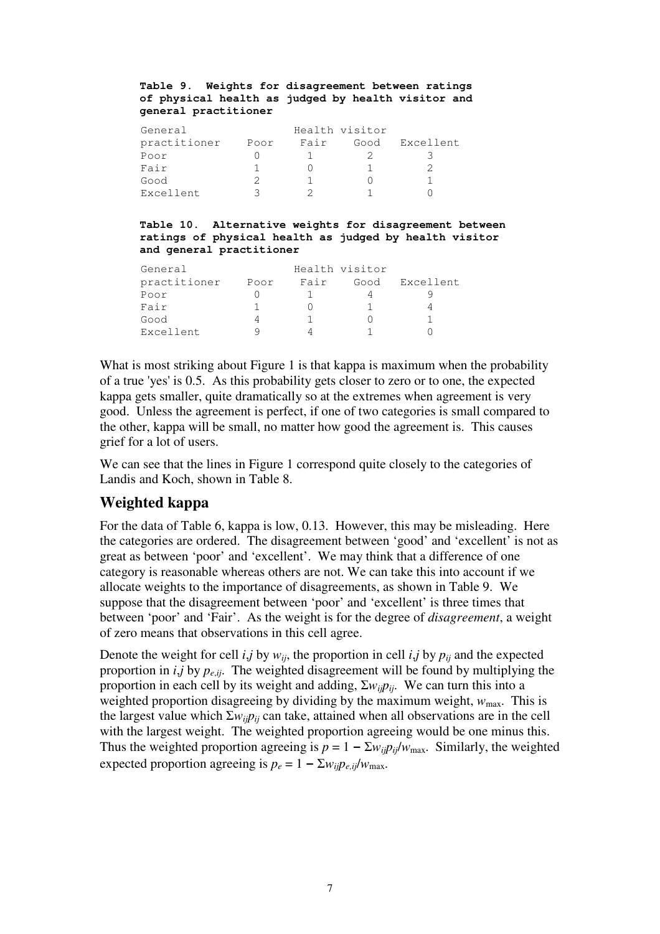#### **Table 9. Weights for disagreement between ratings of physical health as judged by health visitor and general practitioner**

| General      |      |      | Health visitor |           |
|--------------|------|------|----------------|-----------|
| practitioner | Poor | Fair | Good           | Excellent |
| Poor         |      |      |                |           |
| Fair         |      |      |                |           |
| Good         |      |      |                |           |
| Excellent    |      |      |                |           |

#### **Table 10. Alternative weights for disagreement between ratings of physical health as judged by health visitor and general practitioner**

| General      |      |      | Health visitor |           |
|--------------|------|------|----------------|-----------|
| practitioner | Poor | Fair | Good           | Excellent |
| Poor         |      |      |                |           |
| Fair         |      |      |                |           |
| Good         |      |      |                |           |
| Excellent    |      |      |                |           |

What is most striking about Figure 1 is that kappa is maximum when the probability of a true 'yes'is 0.5. As this probability gets closer to zero or to one, the expected kappa gets smaller, quite dramatically so at the extremes when agreement is very good. Unless the agreement is perfect, if one of two categories is small compared to the other, kappa will be small, no matter how good the agreement is. This causes grief for a lot of users.

We can see that the lines in Figure 1 correspond quite closely to the categories of Landis and Koch, shown in Table 8.

# **Weighted kappa**

For the data of Table 6, kappa is low, 0.13. However, this may be misleading. Here the categories are ordered. The disagreement between 'good' and 'excellent' is not as great as between 'poor' and 'excellent'. We may think that a difference of one category is reasonable whereas others are not. We can take this into account if we allocate weights to the importance of disagreements, as shown in Table 9. We suppose that the disagreement between 'poor' and 'excellent' is three times that between 'poor' and 'Fair'. As the weight is for the degree of *disagreement*, a weight of zero means that observations in this cell agree.

Denote the weight for cell *i*,*j* by  $w_{ij}$ , the proportion in cell *i*,*j* by  $p_{ij}$  and the expected proportion in *i*,*j* by *p<sup>e</sup>*,*ij* . The weighted disagreement will be found by multiplying the proportion in each cell by its weight and adding,  $\sum w_{ij}p_{ij}$ . We can turn this into a weighted proportion disagreeing by dividing by the maximum weight,  $w_{\text{max}}$ . This is the largest value which  $\sum w_{ij} p_{ij}$  can take, attained when all observations are in the cell with the largest weight. The weighted proportion agreeing would be one minus this. Thus the weighted proportion agreeing is  $p = 1 - \sum w_{ij} p_{ij} / w_{max}$ . Similarly, the weighted expected proportion agreeing is  $p_e = 1 - \sum w_{ij} p_{e,ij} / w_{\text{max}}$ .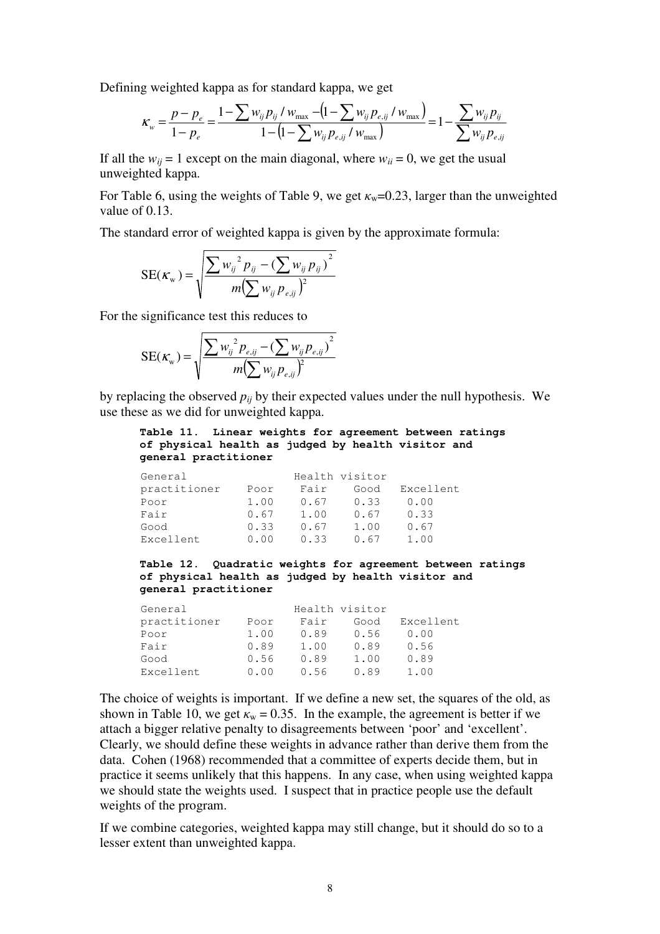Defining weighted kappa as for standard kappa, we get

$$
\kappa_{w} = \frac{p - p_e}{1 - p_e} = \frac{1 - \sum w_{ij} p_{ij} / w_{\text{max}} - (1 - \sum w_{ij} p_{e,ij} / w_{\text{max}})}{1 - (1 - \sum w_{ij} p_{e,ij} / w_{\text{max}})} = 1 - \frac{\sum w_{ij} p_{ij}}{\sum w_{ij} p_{e,ij}}
$$

If all the  $w_{ii} = 1$  except on the main diagonal, where  $w_{ii} = 0$ , we get the usual unweighted kappa.

For Table 6, using the weights of Table 9, we get  $\kappa_w=0.23$ , larger than the unweighted value of 0.13.

The standard error of weighted kappa is given by the approximate formula:

$$
SE(\kappa_{w}) = \sqrt{\frac{\sum w_{ij}^{2} p_{ij} - (\sum w_{ij} p_{ij})^{2}}{m(\sum w_{ij} p_{e,ij})^{2}}}
$$

For the significance test this reduces to

$$
SE(\kappa_{w}) = \sqrt{\frac{\sum w_{ij}^{2} p_{e,ij} - (\sum w_{ij} p_{e,ij})^{2}}{m(\sum w_{ij} p_{e,ij})^{2}}}
$$

by replacing the observed  $p_{ii}$  by their expected values under the null hypothesis. We use these as we did for unweighted kappa.

#### **Table 11. Linear weights for agreement between ratings of physical health as judged by health visitor and general practitioner**

| General      |      |      | Health visitor |           |
|--------------|------|------|----------------|-----------|
| practitioner | Poor | Fair | Good           | Excellent |
| Poor         | 1.00 | 0.67 | 0.33           | 0.00      |
| Fair         | 0.67 | 1.00 | 0.67           | 0.33      |
| Good         | 0.33 | 0.67 | 1.00           | 0.67      |
| Excellent    | 0.00 | 0.33 | 0.67           | 1.00      |

**Table 12. Quadratic weights for agreement between ratings of physical health as judged by health visitor and general practitioner**

| General      |      | Health visitor |      |           |
|--------------|------|----------------|------|-----------|
| practitioner | Poor | Fair           | Good | Excellent |
| Poor         | 1.00 | 0.89           | 0.56 | 0.00      |
| Fair         | 0.89 | 1.00           | 0.89 | 0.56      |
| Good         | 0.56 | 0.89           | 1.00 | 0.89      |
| Excellent    | 0.00 | 0.56           | 0.89 | 1.00      |

The choice of weights is important. If we define a new set, the squares of the old, as shown in Table 10, we get  $\kappa_w = 0.35$ . In the example, the agreement is better if we attach a bigger relative penalty to disagreements between 'poor' and 'excellent' . Clearly, we should define these weights in advance rather than derive them from the data. Cohen (1968) recommended that a committee of experts decide them, but in practice it seems unlikely that this happens. In any case, when using weighted kappa we should state the weights used. I suspect that in practice people use the default weights of the program.

If we combine categories, weighted kappa may still change, but it should do so to a lesser extent than unweighted kappa.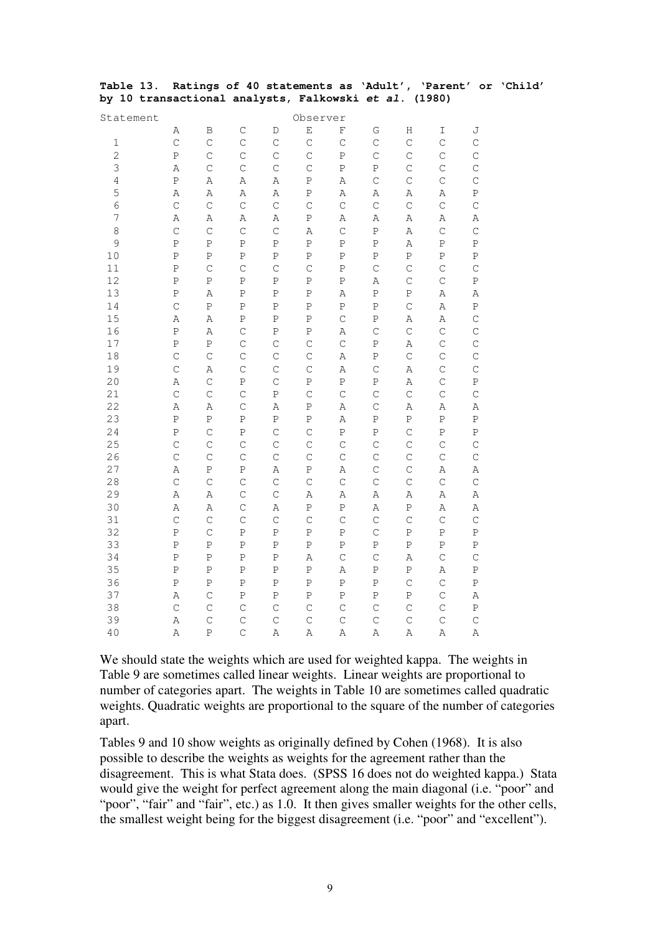|  |                                                       |  |  |  | Table 13. Ratings of 40 statements as 'Adult', 'Parent' or 'Child' |  |
|--|-------------------------------------------------------|--|--|--|--------------------------------------------------------------------|--|
|  | by 10 transactional analysts, Falkowski et al. (1980) |  |  |  |                                                                    |  |

| Statement      | Observer       |               |               |                |              |                |              |              |              |              |  |
|----------------|----------------|---------------|---------------|----------------|--------------|----------------|--------------|--------------|--------------|--------------|--|
|                | Α              | B             | $\mathsf{C}$  | D              | E            | F              | G            | Н            | I            | J            |  |
| 1              | $\mathsf{C}$   | $\mathsf{C}$  | $\mathsf C$   | $\mathsf C$    | $\mathsf{C}$ | $\mathsf{C}$   | $\mathsf{C}$ | $\mathsf{C}$ | $\mathsf{C}$ | $\mathsf{C}$ |  |
| $\overline{c}$ | P              | $\mathsf{C}$  | $\mathsf C$   | $\mathsf C$    | $\mathsf C$  | $\, {\bf P}$   | $\mathsf{C}$ | $\mathsf C$  | $\mathsf C$  | $\mathsf C$  |  |
| 3              | A              | $\mathsf{C}$  | $\mathsf{C}$  | $\mathsf{C}$   | $\mathsf{C}$ | $\, {\bf P}$   | $\, {\bf P}$ | $\mathsf C$  | $\mathsf{C}$ | $\mathsf C$  |  |
| 4              | $\, {\bf P}$   | Α             | Α             | Α              | $\, {\bf P}$ | $\, {\bf A}$   | $\mathsf{C}$ | $\mathsf C$  | $\mathsf C$  | $\mathsf C$  |  |
| 5              | Α              | Α             | Α             | Α              | $\, {\bf P}$ | $\, {\bf A}$   | Α            | Α            | Α            | ${\bf P}$    |  |
| 6              | $\mathsf{C}$   | $\mathsf{C}$  | $\mathsf C$   | $\mathsf C$    | $\mathsf C$  | $\mathsf{C}$   | $\mathsf{C}$ | $\mathsf C$  | $\mathsf C$  | $\mathsf C$  |  |
| 7              | A              | Α             | Α             | $\, {\bf A}$   | $\, {\bf P}$ | $\,$ A         | $\, {\bf A}$ | Α            | Α            | Α            |  |
| 8              | $\mathsf{C}$   | $\mathsf{C}$  | $\mathsf C$   | $\mathsf C$    | $\,$ A       | $\mathsf{C}$   | $\, {\bf P}$ | Α            | $\mathsf C$  | $\mathsf C$  |  |
| 9              | $\, {\bf P}$   | $\, {\bf P}$  | Ρ             | Ρ              | $\, {\bf P}$ | $\, {\bf P}$   | $\mathbf P$  | $\, {\tt A}$ | Ρ            | ${\bf P}$    |  |
| 10             | $\, {\bf P}$   | $\, {\bf P}$  | $\, {\bf P}$  | P              | $\, {\bf P}$ | $\, {\bf P}$   | $\, {\bf P}$ | $\, {\bf P}$ | $\, {\bf P}$ | ${\bf P}$    |  |
| 11             | $\, {\bf P}$   | $\mathsf{C}$  | $\mathsf C$   | $\mathsf C$    | $\mathsf C$  | $\, {\bf P}$   | $\mathsf C$  | $\mathsf C$  | $\mathsf C$  | $\mathsf{C}$ |  |
| 12             | $\, {\bf P}$   | $\, {\bf P}$  | $\, {\bf P}$  | $\, {\bf P}$   | $\, {\bf P}$ | $\mathbf P$    | $\, {\bf A}$ | $\mathsf C$  | $\mathsf C$  | ${\bf P}$    |  |
| 13             | P              | $\,$ $\,$     | P             | $\overline{P}$ | $\, {\bf P}$ | $\overline{A}$ | $\, {\bf P}$ | $\, {\bf P}$ | Α            | Α            |  |
| 14             | $\mathbf C$    | $\, {\bf P}$  | $\, {\bf P}$  | $\, {\bf P}$   | $\, {\bf P}$ | $\, {\bf P}$   | $\, {\bf P}$ | $\mathsf C$  | Α            | ${\bf P}$    |  |
| 15             | Α              | Α             | Ρ             | Ρ              | ${\bf P}$    | $\mathsf{C}$   | $\, {\bf P}$ | Α            | Α            | $\mathsf C$  |  |
| 16             | $\overline{P}$ | A             | $\mathsf C$   | $\, {\bf P}$   | $\, {\bf P}$ | $\,$ $\,$      | $\mathsf{C}$ | $\mathsf C$  | $\mathsf{C}$ | $\mathsf C$  |  |
| 17             | $\, {\bf P}$   | $\, {\bf P}$  | $\mathsf C$   | $\mathsf C$    | $\mathsf C$  | $\mathsf{C}$   | $\mathbf P$  | Α            | $\mathsf C$  | $\mathsf C$  |  |
| 18             | $\mathsf C$    | $\mathsf C$   | $\mathsf C$   | $\mathsf C$    | $\mathsf C$  | $\, {\bf A}$   | $\, {\bf P}$ | $\mathsf C$  | $\mathsf C$  | $\mathsf C$  |  |
| 19             | $\mathsf{C}$   | A             | $\mathsf C$   | $\mathsf C$    | $\mathsf{C}$ | A              | $\mathsf{C}$ | $\, {\tt A}$ | $\mathsf C$  | $\mathsf C$  |  |
| 20             | Α              | $\mathsf C$   | $\, {\bf P}$  | $\mathsf C$    | P            | $\, {\bf P}$   | $\, {\bf P}$ | Α            | $\mathsf C$  | ${\bf P}$    |  |
| 21             | $\mathsf{C}$   | $\mathsf{C}$  | $\mathsf C$   | $\, {\bf P}$   | $\mathsf{C}$ | $\mathsf{C}$   | $\mathsf{C}$ | $\mathsf C$  | $\mathsf C$  | $\mathsf C$  |  |
| 22             | A              | $\, {\tt A}$  | $\mathcal{C}$ | $\, {\tt A}$   | $\, {\bf P}$ | $\, {\tt A}$   | $\mathsf{C}$ | $\, {\tt A}$ | Α            | $\, {\tt A}$ |  |
| 23             | $\, {\bf P}$   | P             | $\, {\bf P}$  | $\, {\bf P}$   | $\, {\bf P}$ | $\, {\tt A}$   | $\, {\bf P}$ | $\, {\bf P}$ | $\, {\bf P}$ | $\, {\bf P}$ |  |
| 24             | $\, {\bf P}$   | $\mathsf{C}$  | $\, {\bf P}$  | $\mathsf{C}$   | $\mathsf C$  | $\, {\bf P}$   | $\, {\bf P}$ | $\mathsf C$  | Ρ            | $\, {\bf P}$ |  |
| 25             | $\mathsf{C}$   | $\mathsf{C}$  | $\mathsf C$   | $\mathsf C$    | $\mathsf C$  | $\mathsf{C}$   | $\mathsf{C}$ | $\mathsf C$  | $\mathsf C$  | $\mathsf C$  |  |
| 26             | $\mathsf{C}$   | $\mathsf{C}$  | $\mathsf{C}$  | $\mathsf{C}$   | $\mathsf C$  | $\mathsf{C}$   | $\mathsf{C}$ | $\mathsf C$  | $\mathsf{C}$ | $\mathsf C$  |  |
| 27             | Α              | $\, {\bf P}$  | $\, {\bf P}$  | Α              | ${\bf P}$    | $\, {\bf A}$   | $\mathsf C$  | $\mathsf C$  | Α            | $\, {\bf A}$ |  |
| 28             | $\mathsf{C}$   | $\mathsf{C}$  | $\mathsf C$   | $\mathsf C$    | $\mathsf{C}$ | $\mathsf{C}$   | $\mathsf{C}$ | $\mathsf{C}$ | $\mathsf C$  | $\mathsf C$  |  |
| 29             | A              | A             | $\mathsf{C}$  | $\mathsf{C}$   | $\,$ $\,$    | $\,$ A         | $\, {\bf A}$ | Α            | Α            | $\, {\bf A}$ |  |
| 30             | A              | Α             | $\mathsf C$   | $\, {\bf A}$   | $\, {\bf P}$ | $\, {\bf P}$   | $\, {\bf A}$ | $\, {\bf P}$ | Α            | Α            |  |
| 31             | $\mathsf C$    | $\mathsf C$   | $\mathsf C$   | $\mathsf C$    | $\mathsf C$  | $\mathsf{C}$   | $\mathsf C$  | $\mathsf C$  | $\mathsf C$  | $\mathsf C$  |  |
| 32             | P              | $\mathcal{C}$ | P             | P              | $\, {\bf P}$ | $\, {\bf P}$   | $\mathbf C$  | P            | Ρ            | $\, {\bf P}$ |  |
| 33             | $\, {\bf P}$   | P             | $\, {\bf P}$  | P              | P            | ${\bf P}$      | $\, {\bf P}$ | $\, {\bf P}$ | Ρ            | Ρ            |  |
| 34             | $\, {\bf P}$   | $\, {\bf P}$  | $\, {\bf P}$  | $\, {\bf P}$   | $\,$ A       | $\mathsf C$    | $\mathsf C$  | $\, {\tt A}$ | $\mathsf C$  | $\mathsf C$  |  |
| 35             | $\overline{P}$ | $\, {\bf P}$  | $\, {\bf P}$  | $\mathbf P$    | $\, {\bf P}$ | $\,$ A         | $\, {\bf P}$ | $\, {\bf P}$ | $\, {\tt A}$ | $\rm P$      |  |
| 36             | $\, {\bf P}$   | $\, {\bf P}$  | $\, {\bf P}$  | $\overline{P}$ | $\, {\bf P}$ | $\, {\bf P}$   | $\, {\bf P}$ | $\mathsf{C}$ | $\mathsf{C}$ | ${\bf P}$    |  |
| 37             | A              | $\mathsf C$   | $\, {\bf P}$  | $\, {\bf P}$   | $\, {\bf P}$ | $\, {\bf P}$   | $\, {\bf P}$ | $\, {\bf P}$ | $\mathsf C$  | Α            |  |
| 38             | $\mathsf{C}$   | $\mathsf{C}$  | $\mathsf C$   | $\mathsf C$    | $\mathsf C$  | $\mathsf{C}$   | $\mathsf{C}$ | $\mathsf C$  | $\mathsf C$  | ${\bf P}$    |  |
| 39             | A              | $\mathsf{C}$  | $\mathsf{C}$  | $\mathsf{C}$   | $\mathsf{C}$ | $\mathsf{C}$   | $\mathbf C$  | $\mathsf C$  | $\mathsf{C}$ | $\mathsf{C}$ |  |
| 40             | A              | $\, {\bf P}$  | $\mathsf{C}$  | A              | A            | A              | $\, {\bf A}$ | A            | A            | $\, {\bf A}$ |  |

We should state the weights which are used for weighted kappa. The weights in Table 9 are sometimes called linear weights. Linear weights are proportional to number of categories apart. The weights in Table 10 are sometimes called quadratic weights. Quadratic weights are proportional to the square of the number of categories apart.

Tables 9 and 10 show weights as originally defined by Cohen (1968). It is also possible to describe the weights as weights for the agreement rather than the disagreement. This is what Stata does. (SPSS 16 does not do weighted kappa.) Stata would give the weight for perfect agreement along the main diagonal (i.e. "poor" and "poor", "fair" and "fair", etc.) as 1.0. It then gives smaller weights for the other cells, the smallest weight being for the biggest disagreement (i.e. "poor" and "excellent").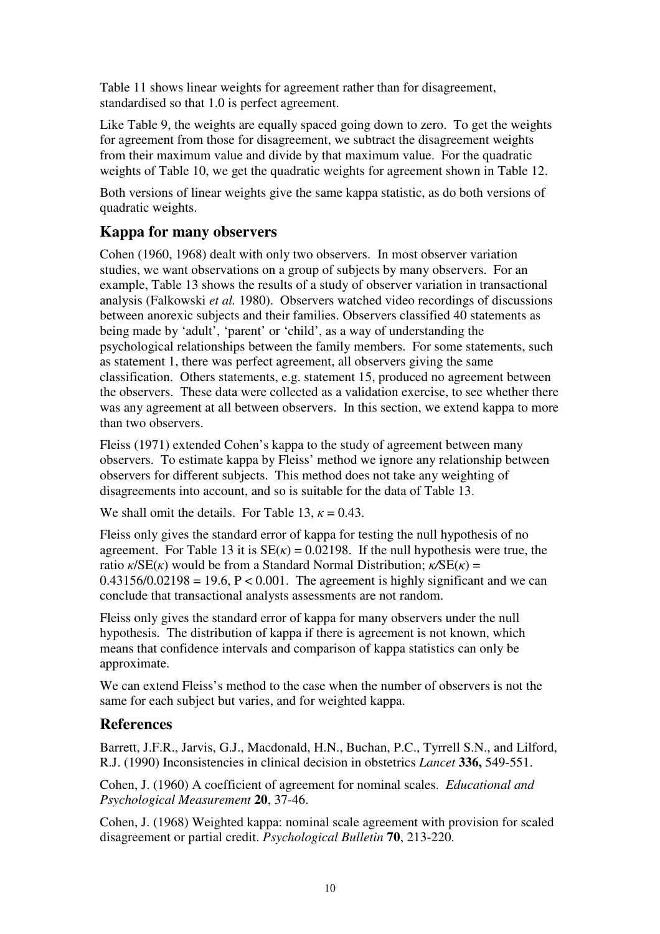Table 11 shows linear weights for agreement rather than for disagreement, standardised so that 1.0 is perfect agreement.

Like Table 9, the weights are equally spaced going down to zero. To get the weights for agreement from those for disagreement, we subtract the disagreement weights from their maximum value and divide by that maximum value. For the quadratic weights of Table 10, we get the quadratic weights for agreement shown in Table 12.

Both versions of linear weights give the same kappa statistic, as do both versions of quadratic weights.

# **Kappa for many observers**

Cohen (1960, 1968) dealt with only two observers. In most observer variation studies, we want observations on a group of subjects by many observers. For an example, Table 13 shows the results of a study of observer variation in transactional analysis (Falkowski *et al.* 1980). Observers watched video recordings of discussions between anorexic subjects and their families. Observers classified 40 statements as being made by 'adult', 'parent' or 'child', as a way of understanding the psychological relationships between the family members. For some statements, such as statement 1, there was perfect agreement, all observers giving the same classification. Others statements, e.g. statement 15, produced no agreement between the observers. These data were collected as a validation exercise, to see whether there was any agreement at all between observers. In this section, we extend kappa to more than two observers.

Fleiss (1971) extended Cohen's kappa to the study of agreement between many observers. To estimate kappa by Fleiss' method we ignore any relationship between observers for different subjects. This method does not take any weighting of disagreements into account, and so is suitable for the data of Table 13.

We shall omit the details. For Table 13,  $\kappa = 0.43$ .

Fleiss only gives the standard error of kappa for testing the null hypothesis of no agreement. For Table 13 it is  $SE(x) = 0.02198$ . If the null hypothesis were true, the ratio  $\kappa / SE(\kappa)$  would be from a Standard Normal Distribution;  $\kappa / SE(\kappa) =$  $0.43156/0.02198 = 19.6$ ,  $P < 0.001$ . The agreement is highly significant and we can conclude that transactional analysts assessments are not random.

Fleiss only gives the standard error of kappa for many observers under the null hypothesis. The distribution of kappa if there is agreement is not known, which means that confidence intervals and comparison of kappa statistics can only be approximate.

We can extend Fleiss's method to the case when the number of observers is not the same for each subject but varies, and for weighted kappa.

# **References**

Barrett, J.F.R., Jarvis, G.J., Macdonald, H.N., Buchan, P.C., Tyrrell S.N., and Lilford, R.J. (1990) Inconsistencies in clinical decision in obstetrics *Lancet* **336,** 549-551.

Cohen, J. (1960) A coefficient of agreement for nominal scales. *Educational and Psychological Measurement* **20**, 37-46.

Cohen, J. (1968) Weighted kappa: nominal scale agreement with provision for scaled disagreement or partial credit. *Psychological Bulletin* **70**, 213-220.